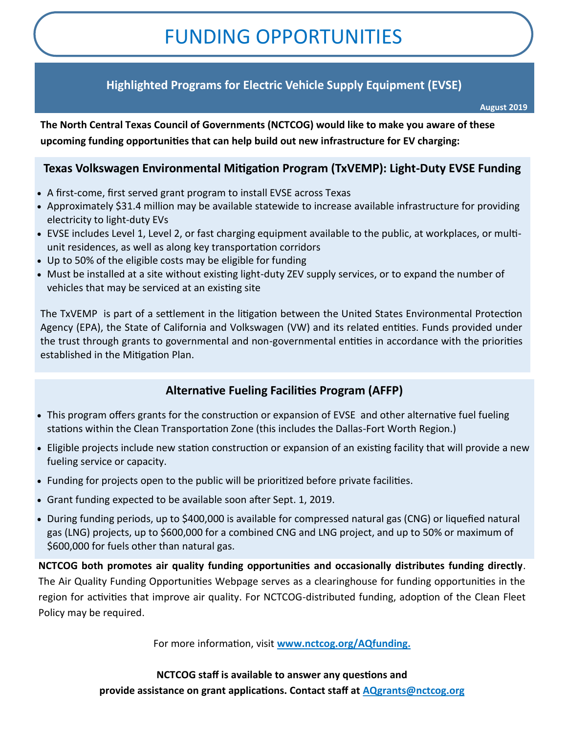# FUNDING OPPORTUNITIES

# **Highlighted Programs for Electric Vehicle Supply Equipment (EVSE)**

**August 2019**

**The North Central Texas Council of Governments (NCTCOG) would like to make you aware of these upcoming funding opportunities that can help build out new infrastructure for EV charging:**

### **Texas Volkswagen Environmental Mitigation Program (TxVEMP): Light-Duty EVSE Funding**

- A first-come, first served grant program to install EVSE across Texas
- Approximately \$31.4 million may be available statewide to increase available infrastructure for providing electricity to light-duty EVs
- EVSE includes Level 1, Level 2, or fast charging equipment available to the public, at workplaces, or multiunit residences, as well as along key transportation corridors
- Up to 50% of the eligible costs may be eligible for funding
- Must be installed at a site without existing light-duty ZEV supply services, or to expand the number of vehicles that may be serviced at an existing site

The TxVEMP is part of a settlement in the litigation between the United States Environmental Protection Agency (EPA), the State of California and Volkswagen (VW) and its related entities. Funds provided under the trust through grants to governmental and non-governmental entities in accordance with the priorities established in the Mitigation Plan.

## **Alternative Fueling Facilities Program (AFFP)**

- This program offers grants for the construction or expansion of EVSE and other alternative fuel fueling stations within the Clean Transportation Zone (this includes the Dallas-Fort Worth Region.)
- Eligible projects include new station construction or expansion of an existing facility that will provide a new fueling service or capacity.
- Funding for projects open to the public will be prioritized before private facilities.
- Grant funding expected to be available soon after Sept. 1, 2019.
- During funding periods, up to \$400,000 is available for compressed natural gas (CNG) or liquefied natural gas (LNG) projects, up to \$600,000 for a combined CNG and LNG project, and up to 50% or maximum of \$600,000 for fuels other than natural gas.

**NCTCOG both promotes air quality funding opportunities and occasionally distributes funding directly**. The Air Quality Funding Opportunities Webpage serves as a clearinghouse for funding opportunities in the region for activities that improve air quality. For NCTCOG-distributed funding, adoption of the Clean Fleet Policy may be required.

For more information, visit **www.nctcog.org/AQfunding.**

**NCTCOG staff is available to answer any questions and provide assistance on grant applications. Contact staff at AQgrants@nctcog.org**